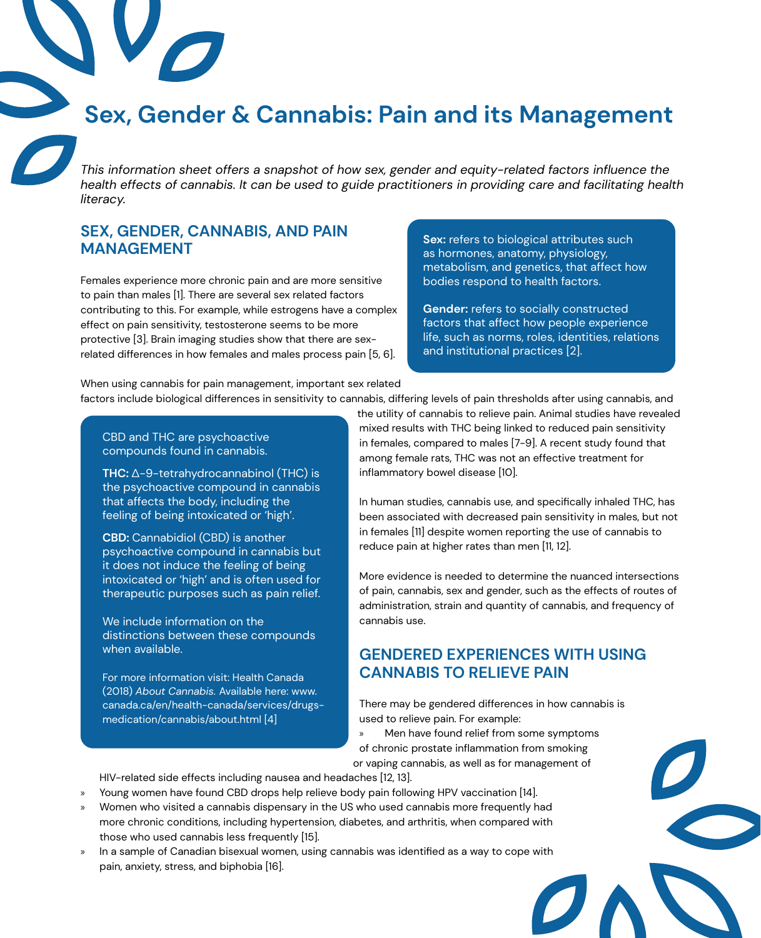# **Sex, Gender & Cannabis: Pain and its Management**

*This information sheet offers a snapshot of how sex, gender and equity-related factors influence the health effects of cannabis. It can be used to guide practitioners in providing care and facilitating health literacy.*

#### **SEX, GENDER, CANNABIS, AND PAIN MANAGEMENT**

Females experience more chronic pain and are more sensitive to pain than males [1]. There are several sex related factors contributing to this. For example, while estrogens have a complex effect on pain sensitivity, testosterone seems to be more protective [3]. Brain imaging studies show that there are sexrelated differences in how females and males process pain [5, 6].

**Sex:** refers to biological attributes such as hormones, anatomy, physiology, metabolism, and genetics, that affect how bodies respond to health factors.

**Gender:** refers to socially constructed factors that affect how people experience life, such as norms, roles, identities, relations and institutional practices [2].

When using cannabis for pain management, important sex related factors include biological differences in sensitivity to cannabis, differing levels of pain thresholds after using cannabis, and

CBD and THC are psychoactive compounds found in cannabis.

**THC:** Δ-9-tetrahydrocannabinol (THC) is the psychoactive compound in cannabis that affects the body, including the feeling of being intoxicated or 'high'.

**CBD:** Cannabidiol (CBD) is another psychoactive compound in cannabis but it does not induce the feeling of being intoxicated or 'high' and is often used for therapeutic purposes such as pain relief.

We include information on the distinctions between these compounds when available.

For more information visit: Health Canada (2018) *About Cannabis.* Available here: [www.](http://www.canada.ca/en/health-canada/services/drugs-medication/cannabis/about.html) [canada.ca/en/health-canada/services/drugs](http://www.canada.ca/en/health-canada/services/drugs-medication/cannabis/about.html)[medication/cannabis/about.html](http://www.canada.ca/en/health-canada/services/drugs-medication/cannabis/about.html) [4]

the utility of cannabis to relieve pain. Animal studies have revealed mixed results with THC being linked to reduced pain sensitivity in females, compared to males [7-9]. A recent study found that among female rats, THC was not an effective treatment for inflammatory bowel disease [10].

In human studies, cannabis use, and specifically inhaled THC, has been associated with decreased pain sensitivity in males, but not in females [11] despite women reporting the use of cannabis to reduce pain at higher rates than men [11, 12].

More evidence is needed to determine the nuanced intersections of pain, cannabis, sex and gender, such as the effects of routes of administration, strain and quantity of cannabis, and frequency of cannabis use.

### **GENDERED EXPERIENCES WITH USING CANNABIS TO RELIEVE PAIN**

There may be gendered differences in how cannabis is used to relieve pain. For example:

» Men have found relief from some symptoms of chronic prostate inflammation from smoking

or vaping cannabis, as well as for management of

HIV-related side effects including nausea and headaches [12, 13].

- » Young women have found CBD drops help relieve body pain following HPV vaccination [14].
- » Women who visited a cannabis dispensary in the US who used cannabis more frequently had more chronic conditions, including hypertension, diabetes, and arthritis, when compared with those who used cannabis less frequently [15].
- » In a sample of Canadian bisexual women, using cannabis was identified as a way to cope with pain, anxiety, stress, and biphobia [16].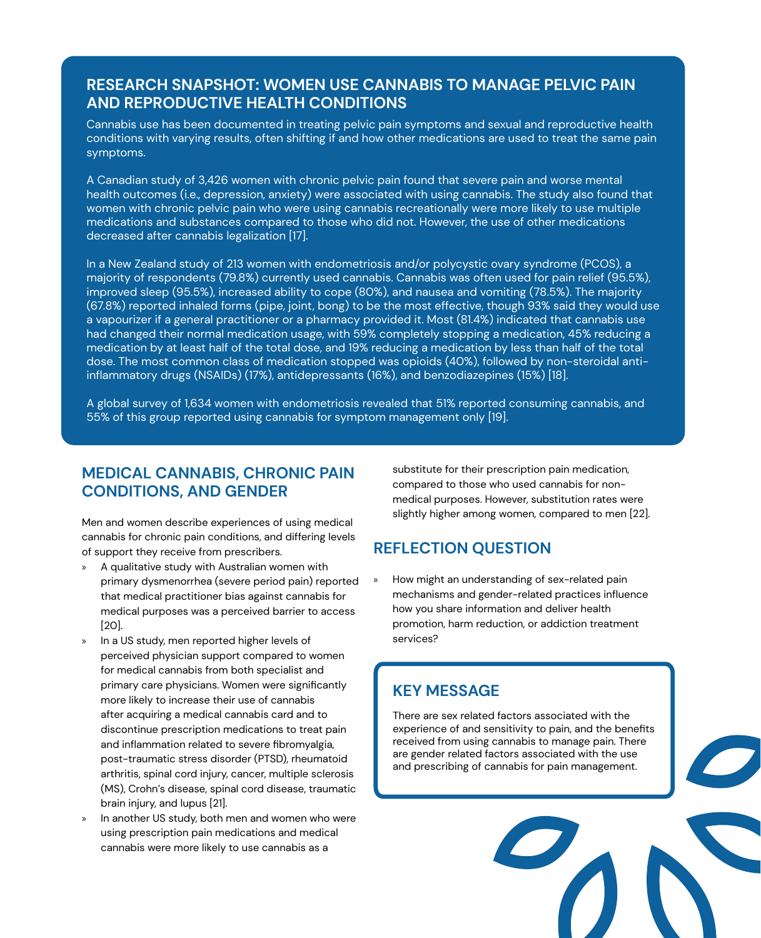### **RESEARCH SNAPSHOT: WOMEN USE CANNABIS TO MANAGE PELVIC PAIN AND REPRODUCTIVE HEALTH CONDITIONS**

Cannabis use has been documented in treating pelvic pain symptoms and sexual and reproductive health conditions with varying results, often shifting if and how other medications are used to treat the same pain symptoms.

A Canadian study of 3,426 women with chronic pelvic pain found that severe pain and worse mental health outcomes (i.e., depression, anxiety) were associated with using cannabis. The study also found that women with chronic pelvic pain who were using cannabis recreationally were more likely to use multiple medications and substances compared to those who did not. However, the use of other medications decreased after cannabis legalization [17].

In a New Zealand study of 213 women with endometriosis and/or polycystic ovary syndrome (PCOS), a majority of respondents (79.8%) currently used cannabis. Cannabis was often used for pain relief (95.5%), improved sleep (95.5%), increased ability to cope (80%), and nausea and vomiting (78.5%). The majority (67.8%) reported inhaled forms (pipe, joint, bong) to be the most effective, though 93% said they would use a vapourizer if a general practitioner or a pharmacy provided it. Most (81.4%) indicated that cannabis use had changed their normal medication usage, with 59% completely stopping a medication, 45% reducing a medication by at least half of the total dose, and 19% reducing a medication by less than half of the total dose. The most common class of medication stopped was opioids (40%), followed by non-steroidal antiinflammatory drugs (NSAIDs) (17%), antidepressants (16%), and benzodiazepines (15%) [18].

A global survey of 1,634 women with endometriosis revealed that 51% reported consuming cannabis, and 55% of this group reported using cannabis for symptom management only [19].

## **MEDICAL CANNABIS, CHRONIC PAIN CONDITIONS, AND GENDER**

Men and women describe experiences of using medical cannabis for chronic pain conditions, and differing levels of support they receive from prescribers.

- » A qualitative study with Australian women with primary dysmenorrhea (severe period pain) reported that medical practitioner bias against cannabis for medical purposes was a perceived barrier to access [20].
- » In a US study, men reported higher levels of perceived physician support compared to women for medical cannabis from both specialist and primary care physicians. Women were significantly more likely to increase their use of cannabis after acquiring a medical cannabis card and to discontinue prescription medications to treat pain and inflammation related to severe fibromyalgia, post-traumatic stress disorder (PTSD), rheumatoid arthritis, spinal cord injury, cancer, multiple sclerosis (MS), Crohn's disease, spinal cord disease, traumatic brain injury, and lupus [21].
- » In another US study, both men and women who were using prescription pain medications and medical cannabis were more likely to use cannabis as a

substitute for their prescription pain medication, compared to those who used cannabis for nonmedical purposes. However, substitution rates were slightly higher among women, compared to men [22].

### **REFLECTION QUESTION**

How might an understanding of sex-related pain mechanisms and gender-related practices influence how you share information and deliver health promotion, harm reduction, or addiction treatment services?

## **KEY MESSAGE**

There are sex related factors associated with the experience of and sensitivity to pain, and the benefits received from using cannabis to manage pain. There are gender related factors associated with the use and prescribing of cannabis for pain management.